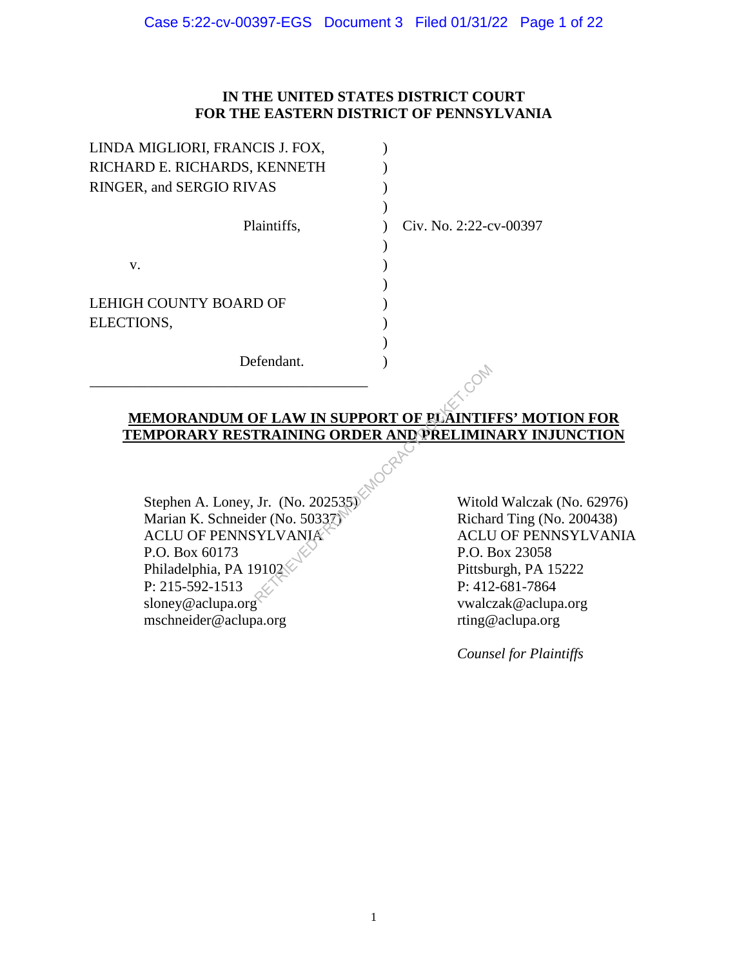# **IN THE UNITED STATES DISTRICT COURT FOR THE EASTERN DISTRICT OF PENNSYLVANIA**

| LINDA MIGLIORI, FRANCIS J. FOX, |                        |
|---------------------------------|------------------------|
| RICHARD E. RICHARDS, KENNETH    |                        |
| RINGER, and SERGIO RIVAS        |                        |
|                                 |                        |
| Plaintiffs,                     | Civ. No. 2:22-cv-00397 |
|                                 |                        |
| V.                              |                        |
|                                 |                        |
| LEHIGH COUNTY BOARD OF          |                        |
| ELECTIONS,                      |                        |
|                                 |                        |
| Defendant.                      |                        |
|                                 |                        |

# **MEMORANDUM OF LAW IN SUPPORT OF PLAINTIFFS' MOTION FOR TEMPORARY RESTRAINING ORDER AND PRELIMINARY INJUNCTION**

Stephen A. Loney, Jr. (No. 202535) Marian K. Schneider (No. 50337) ACLU OF PENNSYLVANIA P.O. Box 60173 Philadelphia, PA 19102 P: 215-592-1513 sloney@aclupa.org mschneider@aclupa.org EXAMING ORDER AND PRELIMING<br>
FRAINING ORDER AND PRELIMING<br>
FRAINING ORDER AND PRELIMING<br>
FRAINING ORDER AND PRELIMING<br>
FRAINING ORDER AND PRELIMING<br>
FRAINING ORDER AND PRELIMING<br>
FRAINING ORDER AND PRELIMING<br>
FRAINING PREL

Witold Walczak (No. 62976) Richard Ting (No. 200438) ACLU OF PENNSYLVANIA P.O. Box 23058 Pittsburgh, PA 15222 P: 412-681-7864 vwalczak@aclupa.org rting@aclupa.org

*Counsel for Plaintiffs*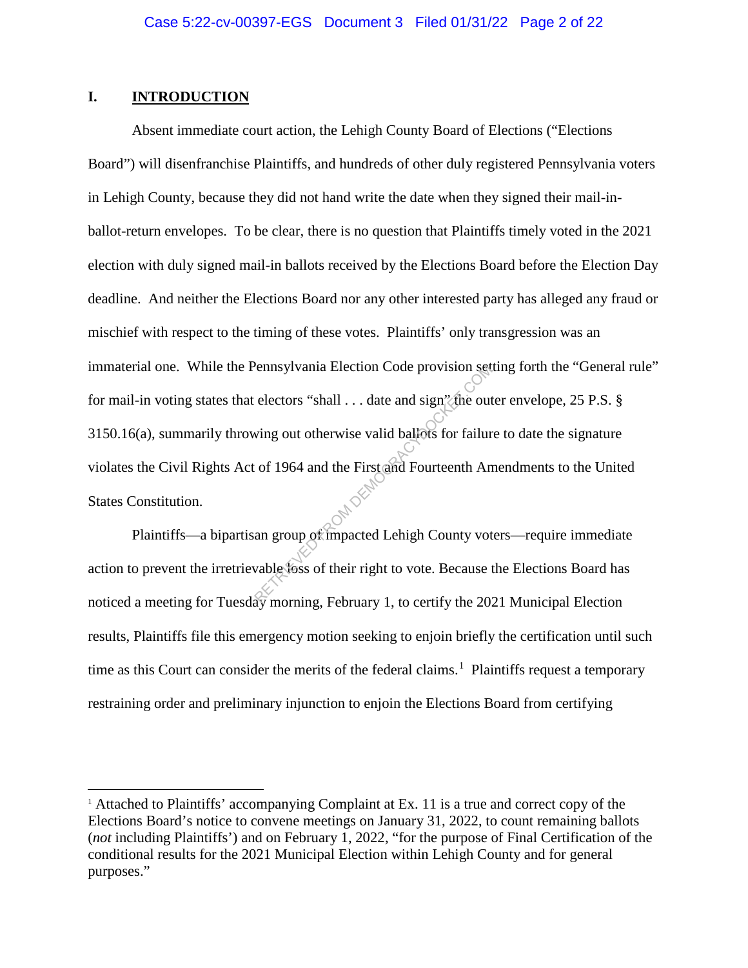## **I. INTRODUCTION**

 $\overline{a}$ 

Absent immediate court action, the Lehigh County Board of Elections ("Elections Board") will disenfranchise Plaintiffs, and hundreds of other duly registered Pennsylvania voters in Lehigh County, because they did not hand write the date when they signed their mail-inballot-return envelopes. To be clear, there is no question that Plaintiffs timely voted in the 2021 election with duly signed mail-in ballots received by the Elections Board before the Election Day deadline. And neither the Elections Board nor any other interested party has alleged any fraud or mischief with respect to the timing of these votes. Plaintiffs' only transgression was an immaterial one. While the Pennsylvania Election Code provision setting forth the "General rule" for mail-in voting states that electors "shall . . . date and sign" the outer envelope, 25 P.S. § 3150.16(a), summarily throwing out otherwise valid ballots for failure to date the signature violates the Civil Rights Act of 1964 and the First and Fourteenth Amendments to the United States Constitution. Pennsylvania Election Code provision set<br>electors "shall ... date and sign" the out<br>wing out otherwise valid ballots for failur<br>of 1964 and the First and Fourteenth An<br>an group of impacted Lehigh County vot<br>wable foss of t

Plaintiffs—a bipartisan group of impacted Lehigh County voters—require immediate action to prevent the irretrievable loss of their right to vote. Because the Elections Board has noticed a meeting for Tuesday morning, February 1, to certify the 2021 Municipal Election results, Plaintiffs file this emergency motion seeking to enjoin briefly the certification until such time as this Court can consider the merits of the federal claims.<sup>1</sup> Plaintiffs request a temporary restraining order and preliminary injunction to enjoin the Elections Board from certifying

<sup>&</sup>lt;sup>1</sup> Attached to Plaintiffs' accompanying Complaint at Ex. 11 is a true and correct copy of the Elections Board's notice to convene meetings on January 31, 2022, to count remaining ballots (*not* including Plaintiffs') and on February 1, 2022, "for the purpose of Final Certification of the conditional results for the 2021 Municipal Election within Lehigh County and for general purposes."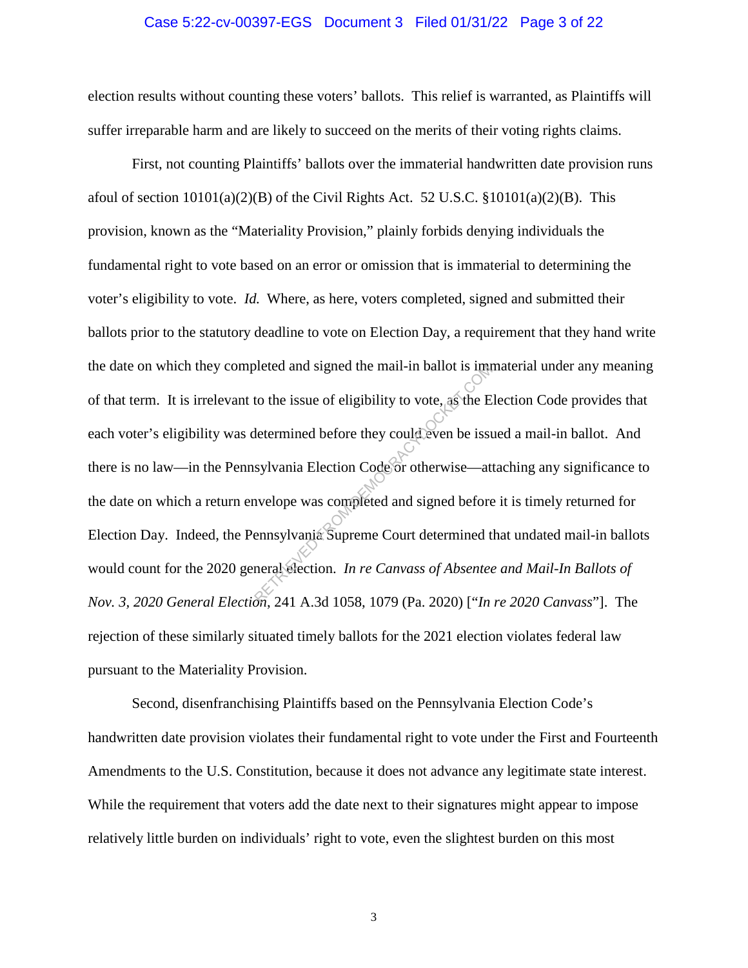#### Case 5:22-cv-00397-EGS Document 3 Filed 01/31/22 Page 3 of 22

election results without counting these voters' ballots. This relief is warranted, as Plaintiffs will suffer irreparable harm and are likely to succeed on the merits of their voting rights claims.

First, not counting Plaintiffs' ballots over the immaterial handwritten date provision runs afoul of section  $10101(a)(2)(B)$  of the Civil Rights Act. 52 U.S.C. §10101(a)(2)(B). This provision, known as the "Materiality Provision," plainly forbids denying individuals the fundamental right to vote based on an error or omission that is immaterial to determining the voter's eligibility to vote. *Id.* Where, as here, voters completed, signed and submitted their ballots prior to the statutory deadline to vote on Election Day, a requirement that they hand write the date on which they completed and signed the mail-in ballot is immaterial under any meaning of that term. It is irrelevant to the issue of eligibility to vote, as the Election Code provides that each voter's eligibility was determined before they could even be issued a mail-in ballot. And there is no law—in the Pennsylvania Election Code or otherwise—attaching any significance to the date on which a return envelope was completed and signed before it is timely returned for Election Day. Indeed, the Pennsylvania Supreme Court determined that undated mail-in ballots would count for the 2020 general election. *In re Canvass of Absentee and Mail-In Ballots of Nov. 3, 2020 General Election*, 241 A.3d 1058, 1079 (Pa. 2020) ["*In re 2020 Canvass*"]. The rejection of these similarly situated timely ballots for the 2021 election violates federal law pursuant to the Materiality Provision. bleted and signed the mail-in ballot is into<br>to the issue of eligibility to vote, as the E<br>determined before they could even be issuesylvania Election Code or otherwise—at<br>nvelope was completed and signed before<br>ennsylvan

Second, disenfranchising Plaintiffs based on the Pennsylvania Election Code's handwritten date provision violates their fundamental right to vote under the First and Fourteenth Amendments to the U.S. Constitution, because it does not advance any legitimate state interest. While the requirement that voters add the date next to their signatures might appear to impose relatively little burden on individuals' right to vote, even the slightest burden on this most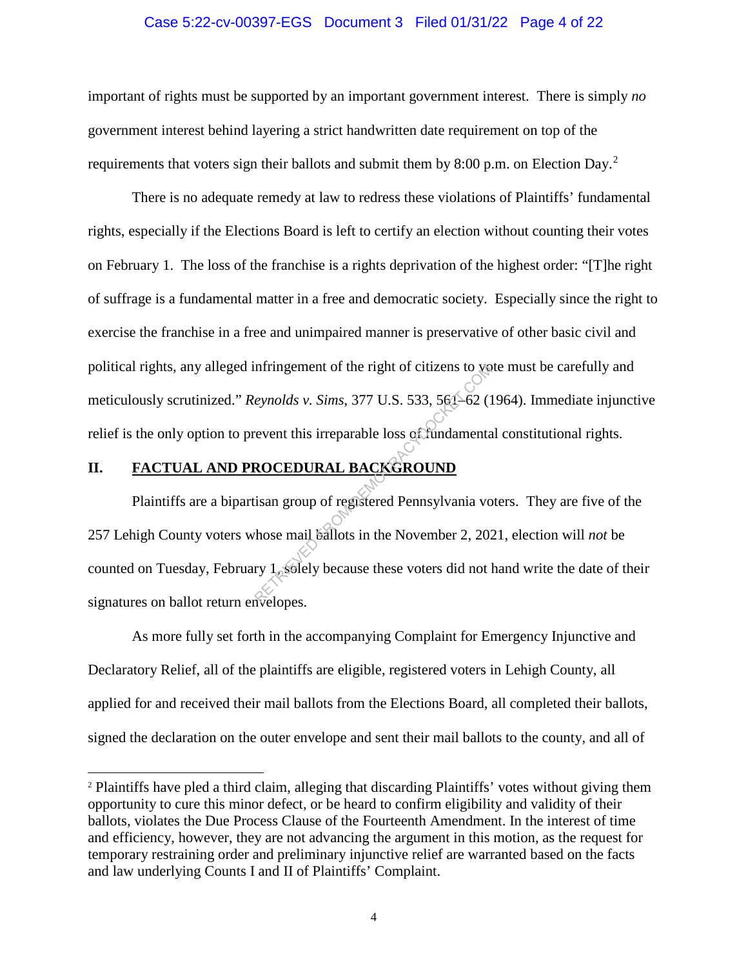#### Case 5:22-cv-00397-EGS Document 3 Filed 01/31/22 Page 4 of 22

important of rights must be supported by an important government interest. There is simply *no*  government interest behind layering a strict handwritten date requirement on top of the requirements that voters sign their ballots and submit them by 8:00 p.m. on Election Day.<sup>2</sup>

There is no adequate remedy at law to redress these violations of Plaintiffs' fundamental rights, especially if the Elections Board is left to certify an election without counting their votes on February 1. The loss of the franchise is a rights deprivation of the highest order: "[T]he right of suffrage is a fundamental matter in a free and democratic society. Especially since the right to exercise the franchise in a free and unimpaired manner is preservative of other basic civil and political rights, any alleged infringement of the right of citizens to vote must be carefully and meticulously scrutinized." *Reynolds v. Sims*, 377 U.S. 533, 561–62 (1964). Immediate injunctive relief is the only option to prevent this irreparable loss of fundamental constitutional rights.

# **II. FACTUAL AND PROCEDURAL BACKGROUND**

 $\overline{a}$ 

Plaintiffs are a bipartisan group of registered Pennsylvania voters. They are five of the 257 Lehigh County voters whose mail ballots in the November 2, 2021, election will *not* be counted on Tuesday, February 1, solely because these voters did not hand write the date of their signatures on ballot return envelopes. mitringement of the right of citizens to your<br>
eynolds v. Sims, 377 U.S. 533, 561–62 (1)<br>
revent this irreparable loss of fundamenta<br>
ROCEDURAL BACKGROUND<br>
isan group of registered Pennsylvania vo<br>
those mail ballots in th

As more fully set forth in the accompanying Complaint for Emergency Injunctive and Declaratory Relief, all of the plaintiffs are eligible, registered voters in Lehigh County, all applied for and received their mail ballots from the Elections Board, all completed their ballots, signed the declaration on the outer envelope and sent their mail ballots to the county, and all of

<sup>2</sup> Plaintiffs have pled a third claim, alleging that discarding Plaintiffs' votes without giving them opportunity to cure this minor defect, or be heard to confirm eligibility and validity of their ballots, violates the Due Process Clause of the Fourteenth Amendment. In the interest of time and efficiency, however, they are not advancing the argument in this motion, as the request for temporary restraining order and preliminary injunctive relief are warranted based on the facts and law underlying Counts I and II of Plaintiffs' Complaint.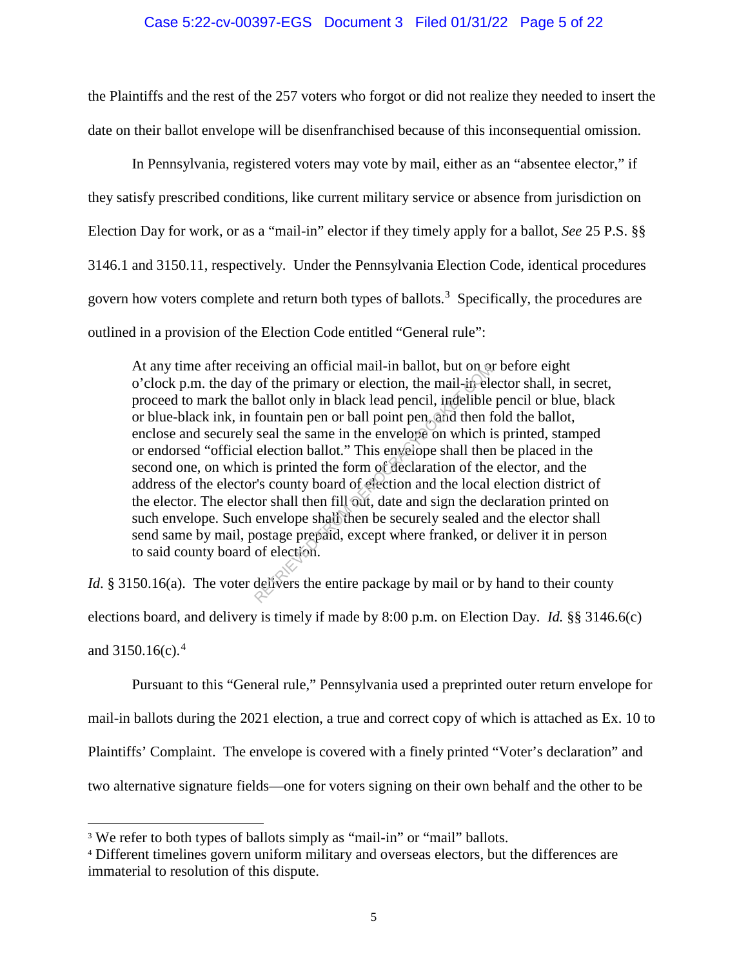#### Case 5:22-cv-00397-EGS Document 3 Filed 01/31/22 Page 5 of 22

the Plaintiffs and the rest of the 257 voters who forgot or did not realize they needed to insert the date on their ballot envelope will be disenfranchised because of this inconsequential omission.

In Pennsylvania, registered voters may vote by mail, either as an "absentee elector," if they satisfy prescribed conditions, like current military service or absence from jurisdiction on Election Day for work, or as a "mail-in" elector if they timely apply for a ballot, *See* 25 P.S. §§ 3146.1 and 3150.11, respectively. Under the Pennsylvania Election Code, identical procedures govern how voters complete and return both types of ballots.<sup>3</sup> Specifically, the procedures are outlined in a provision of the Election Code entitled "General rule":

At any time after receiving an official mail-in ballot, but on or before eight o'clock p.m. the day of the primary or election, the mail-in elector shall, in secret, proceed to mark the ballot only in black lead pencil, indelible pencil or blue, black or blue-black ink, in fountain pen or ball point pen, and then fold the ballot, enclose and securely seal the same in the envelope on which is printed, stamped or endorsed "official election ballot." This envelope shall then be placed in the second one, on which is printed the form of declaration of the elector, and the address of the elector's county board of election and the local election district of the elector. The elector shall then fill out, date and sign the declaration printed on such envelope. Such envelope shall then be securely sealed and the elector shall send same by mail, postage prepaid, except where franked, or deliver it in person to said county board of election. eiving an official mail-in ballot, but on or<br>of the primary or election, the mail-in-ele-<br>ballot only in black lead pencil, indelible<br>fountain pen or ball point pen, and then f<br>seal the same in the envelope on which i<br>elec

*Id*. § 3150.16(a). The voter delivers the entire package by mail or by hand to their county elections board, and delivery is timely if made by 8:00 p.m. on Election Day. *Id.* §§ 3146.6(c) and  $3150.16(c).<sup>4</sup>$ 

 Pursuant to this "General rule," Pennsylvania used a preprinted outer return envelope for mail-in ballots during the 2021 election, a true and correct copy of which is attached as Ex. 10 to Plaintiffs' Complaint. The envelope is covered with a finely printed "Voter's declaration" and two alternative signature fields—one for voters signing on their own behalf and the other to be

<sup>&</sup>lt;sup>3</sup> We refer to both types of ballots simply as "mail-in" or "mail" ballots.

<sup>4</sup> Different timelines govern uniform military and overseas electors, but the differences are immaterial to resolution of this dispute.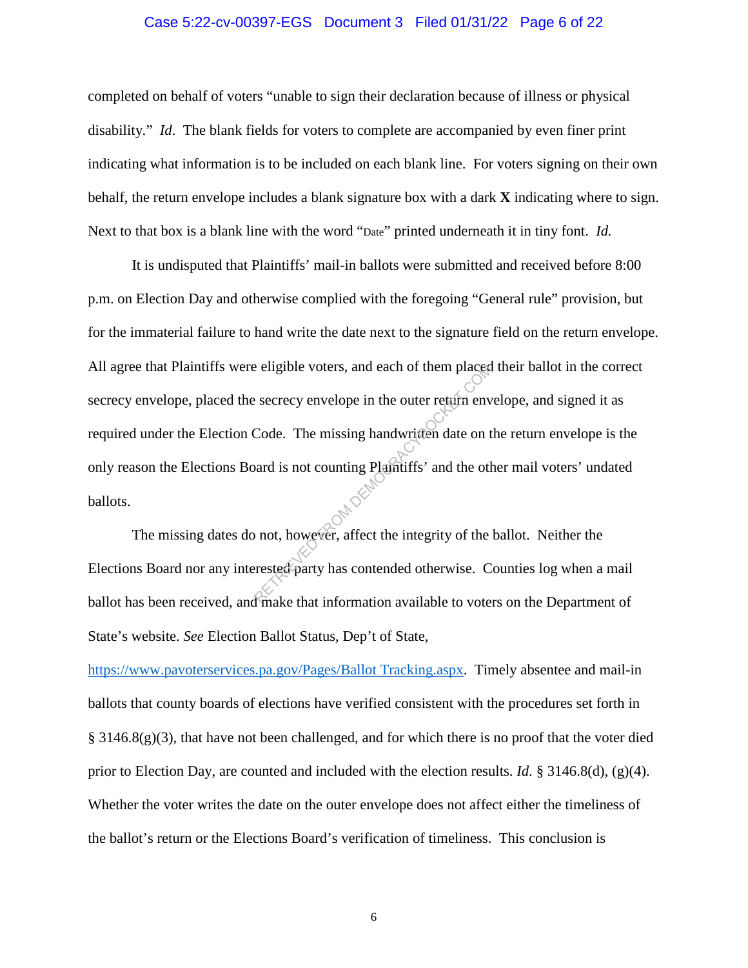#### Case 5:22-cv-00397-EGS Document 3 Filed 01/31/22 Page 6 of 22

completed on behalf of voters "unable to sign their declaration because of illness or physical disability." *Id*. The blank fields for voters to complete are accompanied by even finer print indicating what information is to be included on each blank line. For voters signing on their own behalf, the return envelope includes a blank signature box with a dark **X** indicating where to sign. Next to that box is a blank line with the word "Date" printed underneath it in tiny font. *Id.*

It is undisputed that Plaintiffs' mail-in ballots were submitted and received before 8:00 p.m. on Election Day and otherwise complied with the foregoing "General rule" provision, but for the immaterial failure to hand write the date next to the signature field on the return envelope. All agree that Plaintiffs were eligible voters, and each of them placed their ballot in the correct secrecy envelope, placed the secrecy envelope in the outer return envelope, and signed it as required under the Election Code. The missing handwritten date on the return envelope is the only reason the Elections Board is not counting Plaintiffs' and the other mail voters' undated ballots. Exercey envelope in the outer retain envelope in the outer retain envelope in the outer retain envelope in the outer retain envelope.<br>Code. The missing handwritten date on the order of the order of the order of the integri

The missing dates do not, however, affect the integrity of the ballot. Neither the Elections Board nor any interested party has contended otherwise. Counties log when a mail ballot has been received, and make that information available to voters on the Department of State's website. *See* Election Ballot Status, Dep't of State,

https://www.pavoterservices.pa.gov/Pages/Ballot Tracking.aspx. Timely absentee and mail-in ballots that county boards of elections have verified consistent with the procedures set forth in  $\S 3146.8(g)(3)$ , that have not been challenged, and for which there is no proof that the voter died prior to Election Day, are counted and included with the election results. *Id*. § 3146.8(d), (g)(4). Whether the voter writes the date on the outer envelope does not affect either the timeliness of the ballot's return or the Elections Board's verification of timeliness. This conclusion is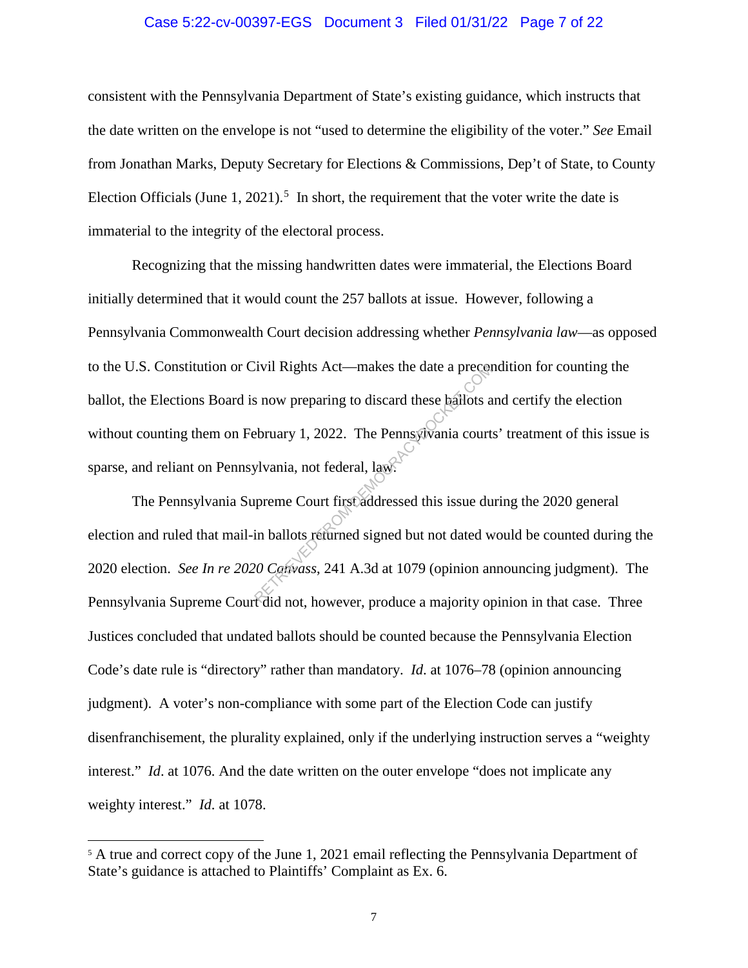#### Case 5:22-cv-00397-EGS Document 3 Filed 01/31/22 Page 7 of 22

consistent with the Pennsylvania Department of State's existing guidance, which instructs that the date written on the envelope is not "used to determine the eligibility of the voter." *See* Email from Jonathan Marks, Deputy Secretary for Elections & Commissions, Dep't of State, to County Election Officials (June 1, 2021).<sup>5</sup> In short, the requirement that the voter write the date is immaterial to the integrity of the electoral process.

Recognizing that the missing handwritten dates were immaterial, the Elections Board initially determined that it would count the 257 ballots at issue. However, following a Pennsylvania Commonwealth Court decision addressing whether *Pennsylvania law*—as opposed to the U.S. Constitution or Civil Rights Act—makes the date a precondition for counting the ballot, the Elections Board is now preparing to discard these ballots and certify the election without counting them on February 1, 2022. The Pennsylvania courts' treatment of this issue is sparse, and reliant on Pennsylvania, not federal, law. Trul Rights Act—makes the date a precent<br>
s now preparing to discard these ballots a<br>
ebruary 1, 2022. The Pennsylvania court<br>
ylvania, not federal, law.<br>
preme Court first addressed this issue du<br>
in ballots returned sign

The Pennsylvania Supreme Court first addressed this issue during the 2020 general election and ruled that mail-in ballots returned signed but not dated would be counted during the 2020 election. *See In re 2020 Canvass*, 241 A.3d at 1079 (opinion announcing judgment). The Pennsylvania Supreme Court did not, however, produce a majority opinion in that case. Three Justices concluded that undated ballots should be counted because the Pennsylvania Election Code's date rule is "directory" rather than mandatory. *Id*. at 1076–78 (opinion announcing judgment). A voter's non-compliance with some part of the Election Code can justify disenfranchisement, the plurality explained, only if the underlying instruction serves a "weighty interest." *Id*. at 1076. And the date written on the outer envelope "does not implicate any weighty interest." *Id*. at 1078.

<sup>&</sup>lt;sup>5</sup> A true and correct copy of the June 1, 2021 email reflecting the Pennsylvania Department of State's guidance is attached to Plaintiffs' Complaint as Ex. 6.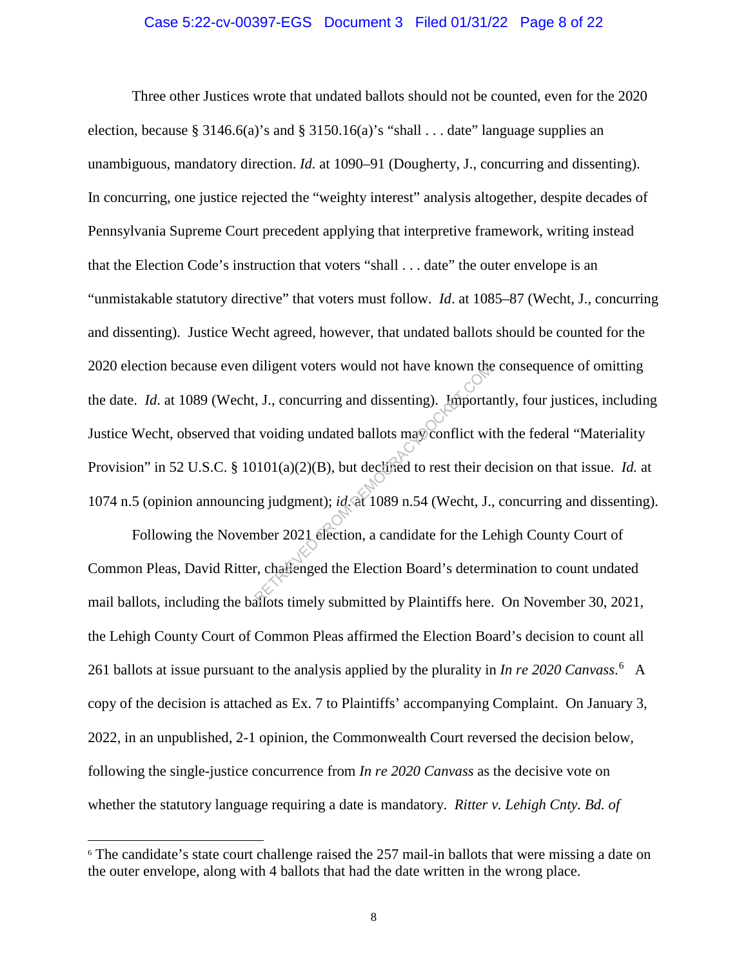#### Case 5:22-cv-00397-EGS Document 3 Filed 01/31/22 Page 8 of 22

Three other Justices wrote that undated ballots should not be counted, even for the 2020 election, because § 3146.6(a)'s and § 3150.16(a)'s "shall  $\ldots$  date" language supplies an unambiguous, mandatory direction. *Id.* at 1090–91 (Dougherty, J., concurring and dissenting). In concurring, one justice rejected the "weighty interest" analysis altogether, despite decades of Pennsylvania Supreme Court precedent applying that interpretive framework, writing instead that the Election Code's instruction that voters "shall . . . date" the outer envelope is an "unmistakable statutory directive" that voters must follow. *Id*. at 1085–87 (Wecht, J., concurring and dissenting). Justice Wecht agreed, however, that undated ballots should be counted for the 2020 election because even diligent voters would not have known the consequence of omitting the date. *Id*. at 1089 (Wecht, J., concurring and dissenting). Importantly, four justices, including Justice Wecht, observed that voiding undated ballots may conflict with the federal "Materiality Provision" in 52 U.S.C. § 10101(a)(2)(B), but declined to rest their decision on that issue. *Id.* at 1074 n.5 (opinion announcing judgment); *id*. at 1089 n.54 (Wecht, J., concurring and dissenting). diligent voters would not have known the<br>
FRIED FRIED FROM DEMOCRACY.<br>
UNION (a)(2)(B), but declined to rest their dougly judgment); *id*. at 1089 n.54 (Wecht, J.,<br>
mber 2021 election, a candidate for the Letter contract

Following the November 2021 election, a candidate for the Lehigh County Court of Common Pleas, David Ritter, challenged the Election Board's determination to count undated mail ballots, including the ballots timely submitted by Plaintiffs here. On November 30, 2021, the Lehigh County Court of Common Pleas affirmed the Election Board's decision to count all 261 ballots at issue pursuant to the analysis applied by the plurality in *In re 2020 Canvass*.<sup>6</sup> A copy of the decision is attached as Ex. 7 to Plaintiffs' accompanying Complaint. On January 3, 2022, in an unpublished, 2-1 opinion, the Commonwealth Court reversed the decision below, following the single-justice concurrence from *In re 2020 Canvass* as the decisive vote on whether the statutory language requiring a date is mandatory. *Ritter v. Lehigh Cnty. Bd. of* 

<sup>&</sup>lt;sup>6</sup> The candidate's state court challenge raised the 257 mail-in ballots that were missing a date on the outer envelope, along with 4 ballots that had the date written in the wrong place.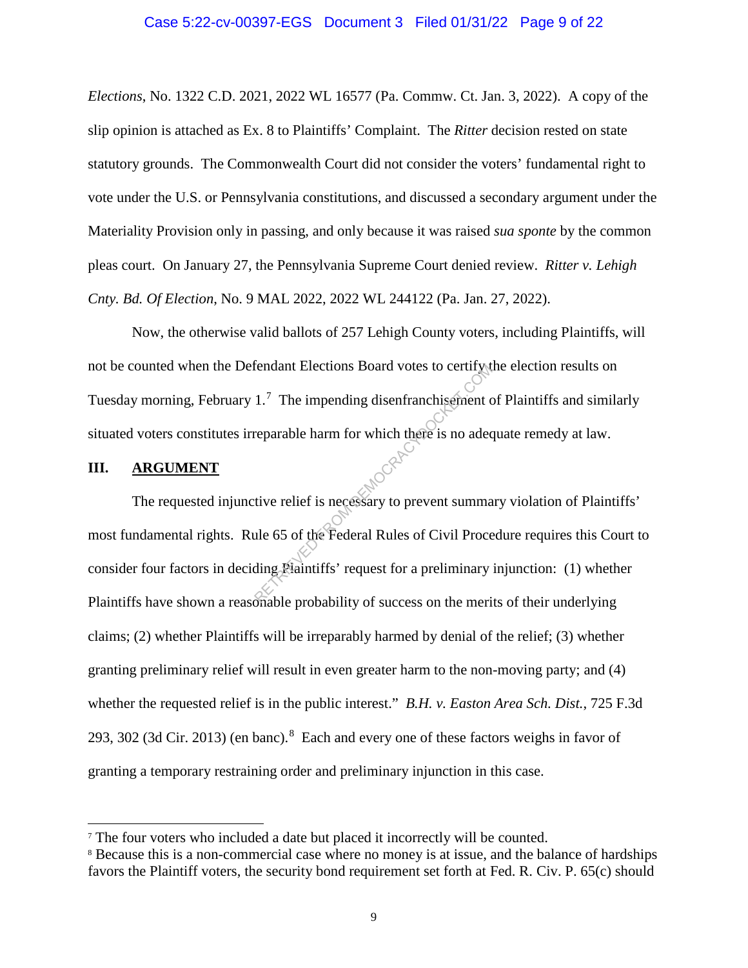#### Case 5:22-cv-00397-EGS Document 3 Filed 01/31/22 Page 9 of 22

*Elections*, No. 1322 C.D. 2021, 2022 WL 16577 (Pa. Commw. Ct. Jan. 3, 2022). A copy of the slip opinion is attached as Ex. 8 to Plaintiffs' Complaint. The *Ritter* decision rested on state statutory grounds. The Commonwealth Court did not consider the voters' fundamental right to vote under the U.S. or Pennsylvania constitutions, and discussed a secondary argument under the Materiality Provision only in passing, and only because it was raised *sua sponte* by the common pleas court. On January 27, the Pennsylvania Supreme Court denied review. *Ritter v. Lehigh Cnty. Bd. Of Election*, No. 9 MAL 2022, 2022 WL 244122 (Pa. Jan. 27, 2022).

Now, the otherwise valid ballots of 257 Lehigh County voters, including Plaintiffs, will not be counted when the Defendant Elections Board votes to certify the election results on Tuesday morning, February 1.<sup>7</sup> The impending disenfranchisement of Plaintiffs and similarly situated voters constitutes irreparable harm for which there is no adequate remedy at law.

#### **III. ARGUMENT**

 $\overline{a}$ 

The requested injunctive relief is necessary to prevent summary violation of Plaintiffs' most fundamental rights. Rule 65 of the Federal Rules of Civil Procedure requires this Court to consider four factors in deciding Plaintiffs' request for a preliminary injunction: (1) whether Plaintiffs have shown a reasonable probability of success on the merits of their underlying claims; (2) whether Plaintiffs will be irreparably harmed by denial of the relief; (3) whether granting preliminary relief will result in even greater harm to the non-moving party; and (4) whether the requested relief is in the public interest." *B.H. v. Easton Area Sch. Dist.*, 725 F.3d 293, 302 (3d Cir. 2013) (en banc).<sup>8</sup> Each and every one of these factors weighs in favor of granting a temporary restraining order and preliminary injunction in this case. Exercise Board votes to certify the Contract Contract Contract Contract Contract Contract Contract Contract Contract Contract Contract Contract Contract Contract Contract Contract Contract Contract Contract Contract Contra

<sup>&</sup>lt;sup>7</sup> The four voters who included a date but placed it incorrectly will be counted.

<sup>8</sup> Because this is a non-commercial case where no money is at issue, and the balance of hardships favors the Plaintiff voters, the security bond requirement set forth at Fed. R. Civ. P. 65(c) should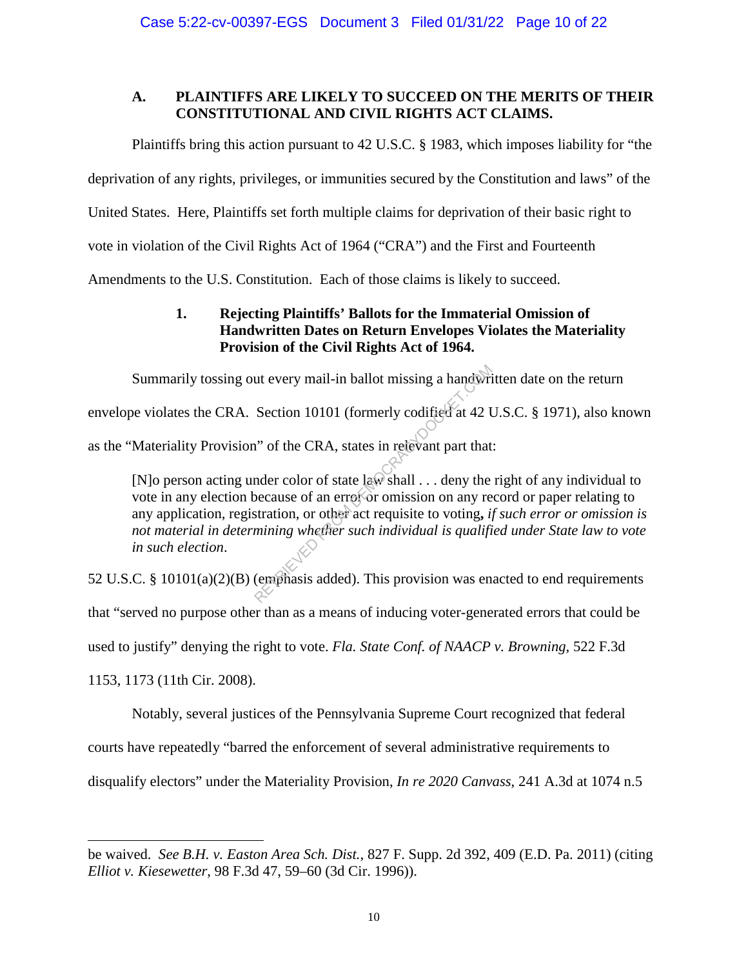# **A. PLAINTIFFS ARE LIKELY TO SUCCEED ON THE MERITS OF THEIR CONSTITUTIONAL AND CIVIL RIGHTS ACT CLAIMS.**

Plaintiffs bring this action pursuant to 42 U.S.C. § 1983, which imposes liability for "the

deprivation of any rights, privileges, or immunities secured by the Constitution and laws" of the

United States. Here, Plaintiffs set forth multiple claims for deprivation of their basic right to

vote in violation of the Civil Rights Act of 1964 ("CRA") and the First and Fourteenth

Amendments to the U.S. Constitution. Each of those claims is likely to succeed.

# **1. Rejecting Plaintiffs' Ballots for the Immaterial Omission of Handwritten Dates on Return Envelopes Violates the Materiality Provision of the Civil Rights Act of 1964.**

Summarily tossing out every mail-in ballot missing a handwritten date on the return

envelope violates the CRA. Section 10101 (formerly codified at 42 U.S.C. § 1971), also known

as the "Materiality Provision" of the CRA, states in relevant part that:

[N]o person acting under color of state law shall . . . deny the right of any individual to vote in any election because of an error or omission on any record or paper relating to any application, registration, or other act requisite to voting**,** *if such error or omission is not material in determining whether such individual is qualified under State law to vote in such election*. ut every mail-in ballot missing a handwri<br>Section 10101 (formerly codified at 42 U<br>n" of the CRA, states in relevant part that<br>nder color of state law shall ... deny the<br>because of an error or omission on any re<br>stration,

52 U.S.C. § 10101(a)(2)(B) (emphasis added). This provision was enacted to end requirements that "served no purpose other than as a means of inducing voter-generated errors that could be used to justify" denying the right to vote. *Fla. State Conf. of NAACP v. Browning*, 522 F.3d 1153, 1173 (11th Cir. 2008).

Notably, several justices of the Pennsylvania Supreme Court recognized that federal

courts have repeatedly "barred the enforcement of several administrative requirements to

 $\overline{a}$ 

disqualify electors" under the Materiality Provision, *In re 2020 Canvass*, 241 A.3d at 1074 n.5

be waived. *See B.H. v. Easton Area Sch. Dist.*, 827 F. Supp. 2d 392, 409 (E.D. Pa. 2011) (citing *Elliot v. Kiesewetter*, 98 F.3d 47, 59–60 (3d Cir. 1996)).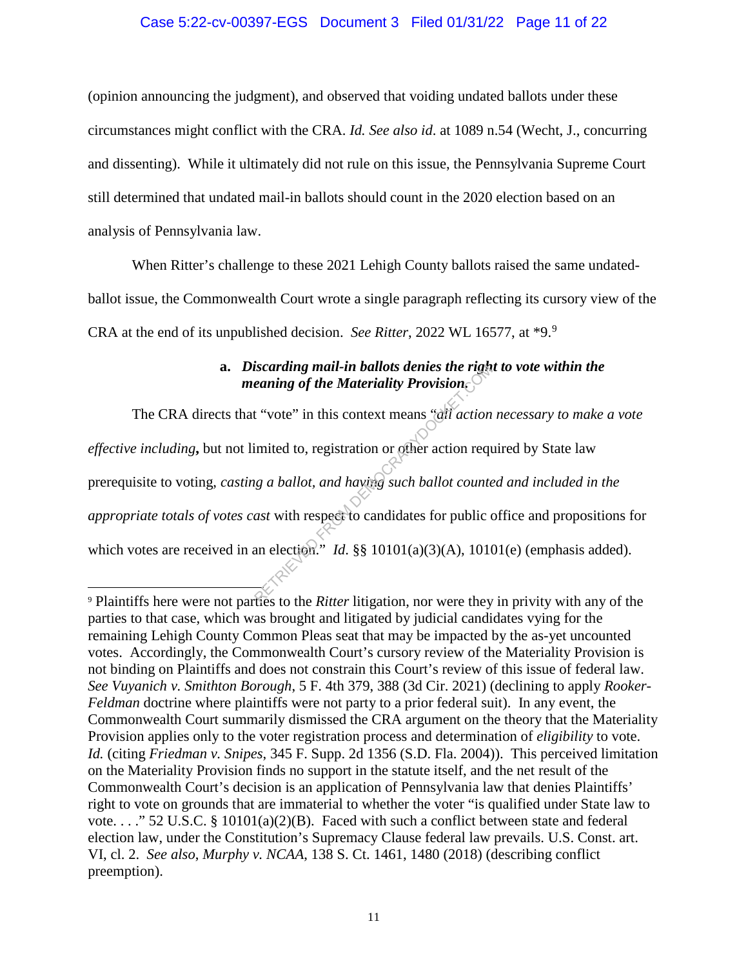### Case 5:22-cv-00397-EGS Document 3 Filed 01/31/22 Page 11 of 22

(opinion announcing the judgment), and observed that voiding undated ballots under these circumstances might conflict with the CRA. *Id. See also id*. at 1089 n.54 (Wecht, J., concurring and dissenting). While it ultimately did not rule on this issue, the Pennsylvania Supreme Court still determined that undated mail-in ballots should count in the 2020 election based on an analysis of Pennsylvania law.

When Ritter's challenge to these 2021 Lehigh County ballots raised the same undatedballot issue, the Commonwealth Court wrote a single paragraph reflecting its cursory view of the CRA at the end of its unpublished decision. *See Ritter*, 2022 WL 16577, at \*9.<sup>9</sup>

# **a.** *Discarding mail-in ballots denies the right to vote within the meaning of the Materiality Provision.*

The CRA directs that "vote" in this context means "*all action necessary to make a vote effective including***,** but not limited to, registration or other action required by State law prerequisite to voting, *casting a ballot, and having such ballot counted and included in the appropriate totals of votes cast* with respect to candidates for public office and propositions for which votes are received in an election." *Id.* §§ 10101(a)(3)(A), 10101(e) (emphasis added). Examing of the Materiality Provision<br>
eaning of the Materiality Provision<br>
t "vote" in this context means "all action<br>
imited to, registration or other action request<br>
g a ballot, and having such ballot counter<br>
ast with

<sup>9</sup> Plaintiffs here were not parties to the *Ritter* litigation, nor were they in privity with any of the parties to that case, which was brought and litigated by judicial candidates vying for the remaining Lehigh County Common Pleas seat that may be impacted by the as-yet uncounted votes. Accordingly, the Commonwealth Court's cursory review of the Materiality Provision is not binding on Plaintiffs and does not constrain this Court's review of this issue of federal law. *See Vuyanich v. Smithton Borough*, 5 F. 4th 379, 388 (3d Cir. 2021) (declining to apply *Rooker-Feldman* doctrine where plaintiffs were not party to a prior federal suit). In any event, the Commonwealth Court summarily dismissed the CRA argument on the theory that the Materiality Provision applies only to the voter registration process and determination of *eligibility* to vote. *Id.* (citing *Friedman v. Snipes*, 345 F. Supp. 2d 1356 (S.D. Fla. 2004)). This perceived limitation on the Materiality Provision finds no support in the statute itself, and the net result of the Commonwealth Court's decision is an application of Pennsylvania law that denies Plaintiffs' right to vote on grounds that are immaterial to whether the voter "is qualified under State law to vote. . . ." 52 U.S.C. § 10101(a)(2)(B). Faced with such a conflict between state and federal election law, under the Constitution's Supremacy Clause federal law prevails. U.S. Const. art. VI, cl. 2. *See also*, *Murphy v. NCAA*, 138 S. Ct. 1461, 1480 (2018) (describing conflict preemption).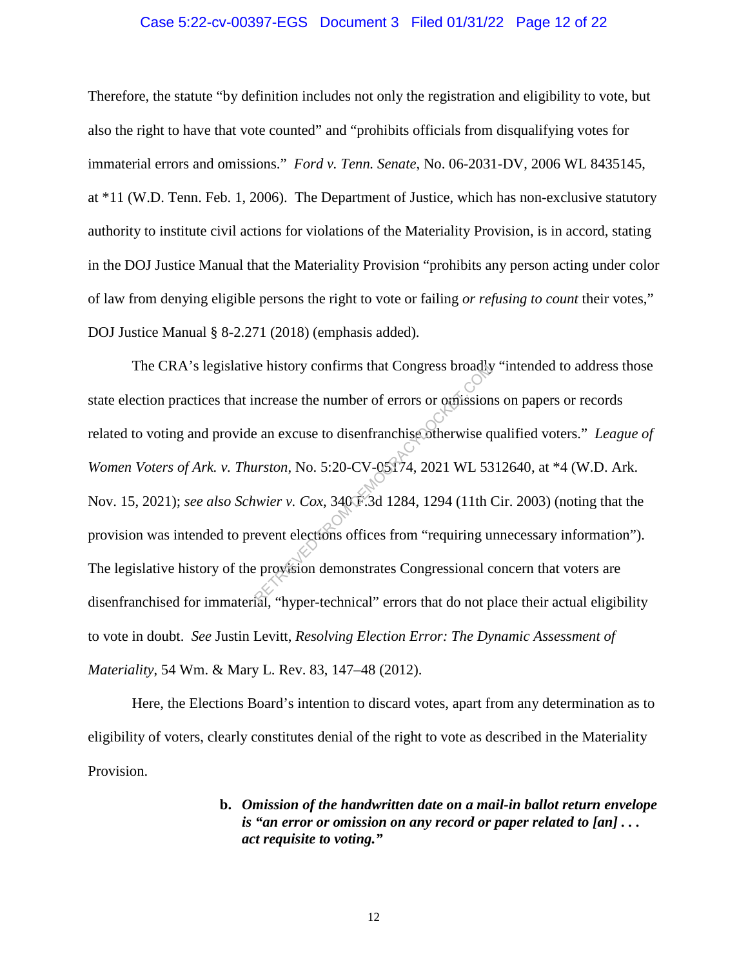#### Case 5:22-cv-00397-EGS Document 3 Filed 01/31/22 Page 12 of 22

Therefore, the statute "by definition includes not only the registration and eligibility to vote, but also the right to have that vote counted" and "prohibits officials from disqualifying votes for immaterial errors and omissions." *Ford v. Tenn. Senate*, No. 06-2031-DV, 2006 WL 8435145, at \*11 (W.D. Tenn. Feb. 1, 2006). The Department of Justice, which has non-exclusive statutory authority to institute civil actions for violations of the Materiality Provision, is in accord, stating in the DOJ Justice Manual that the Materiality Provision "prohibits any person acting under color of law from denying eligible persons the right to vote or failing *or refusing to count* their votes," DOJ Justice Manual § 8-2.271 (2018) (emphasis added).

The CRA's legislative history confirms that Congress broadly "intended to address those state election practices that increase the number of errors or omissions on papers or records related to voting and provide an excuse to disenfranchise otherwise qualified voters." *League of Women Voters of Ark. v. Thurston*, No. 5:20-CV-05174, 2021 WL 5312640, at \*4 (W.D. Ark. Nov. 15, 2021); *see also Schwier v. Cox*, 340 F.3d 1284, 1294 (11th Cir. 2003) (noting that the provision was intended to prevent elections offices from "requiring unnecessary information"). The legislative history of the provision demonstrates Congressional concern that voters are disenfranchised for immaterial, "hyper-technical" errors that do not place their actual eligibility to vote in doubt. *See* Justin Levitt, *Resolving Election Error: The Dynamic Assessment of Materiality*, 54 Wm. & Mary L. Rev. 83, 147–48 (2012). re history continues that Congress broadly<br>
ncrease the number of errors or omission<br>
an excuse to disenfranchise otherwise q<br>
arston, No. 5:20-CV-05174, 2021 WL 53<br>
wier v. Cox, 340 F.3d 1284, 1294 (11th Computer of the c

Here, the Elections Board's intention to discard votes, apart from any determination as to eligibility of voters, clearly constitutes denial of the right to vote as described in the Materiality Provision.

> **b.** *Omission of the handwritten date on a mail-in ballot return envelope is "an error or omission on any record or paper related to [an] . . . act requisite to voting."*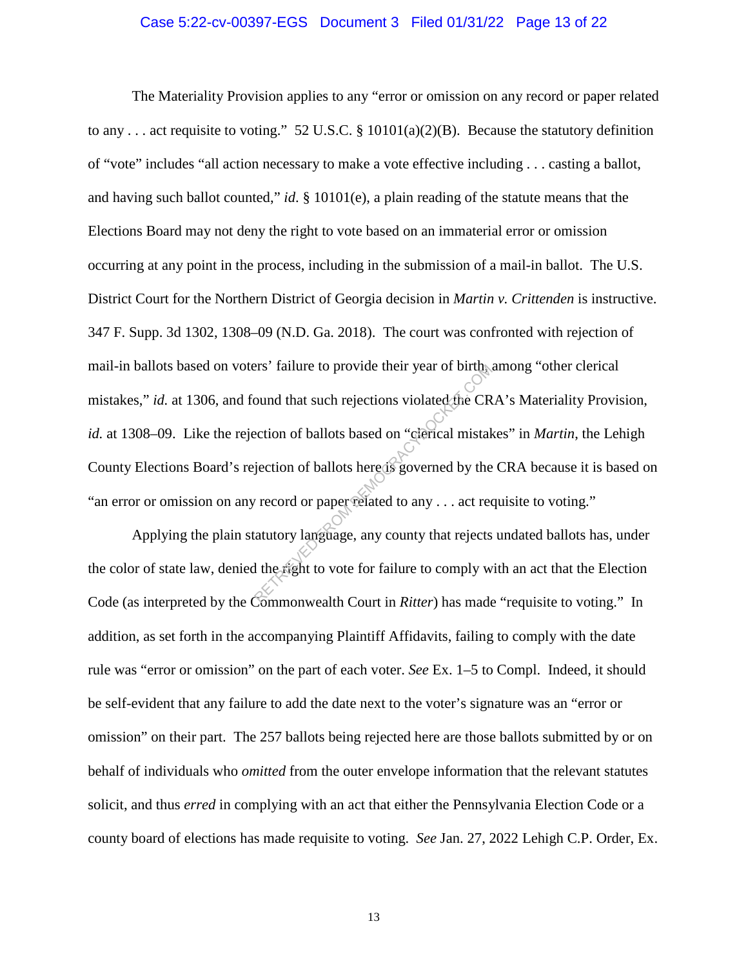#### Case 5:22-cv-00397-EGS Document 3 Filed 01/31/22 Page 13 of 22

The Materiality Provision applies to any "error or omission on any record or paper related to any . . . act requisite to voting." 52 U.S.C. § 10101(a)(2)(B). Because the statutory definition of "vote" includes "all action necessary to make a vote effective including . . . casting a ballot, and having such ballot counted," *id*. § 10101(e), a plain reading of the statute means that the Elections Board may not deny the right to vote based on an immaterial error or omission occurring at any point in the process, including in the submission of a mail-in ballot. The U.S. District Court for the Northern District of Georgia decision in *Martin v. Crittenden* is instructive. 347 F. Supp. 3d 1302, 1308–09 (N.D. Ga. 2018). The court was confronted with rejection of mail-in ballots based on voters' failure to provide their year of birth, among "other clerical mistakes," *id.* at 1306, and found that such rejections violated the CRA's Materiality Provision, *id.* at 1308–09. Like the rejection of ballots based on "clerical mistakes" in *Martin*, the Lehigh County Elections Board's rejection of ballots here is governed by the CRA because it is based on "an error or omission on any record or paper related to any . . . act requisite to voting." Fracture to provide their year of birth<br>
bund that such rejections violated the CR<br>
ection of ballots based on "clerical mistak<br>
jection of ballots here is governed by the<br>
record or paper related to any . . . act record t

Applying the plain statutory language, any county that rejects undated ballots has, under the color of state law, denied the right to vote for failure to comply with an act that the Election Code (as interpreted by the Commonwealth Court in *Ritter*) has made "requisite to voting." In addition, as set forth in the accompanying Plaintiff Affidavits, failing to comply with the date rule was "error or omission" on the part of each voter. *See* Ex. 1–5 to Compl. Indeed, it should be self-evident that any failure to add the date next to the voter's signature was an "error or omission" on their part. The 257 ballots being rejected here are those ballots submitted by or on behalf of individuals who *omitted* from the outer envelope information that the relevant statutes solicit, and thus *erred* in complying with an act that either the Pennsylvania Election Code or a county board of elections has made requisite to voting. *See* Jan. 27, 2022 Lehigh C.P. Order, Ex.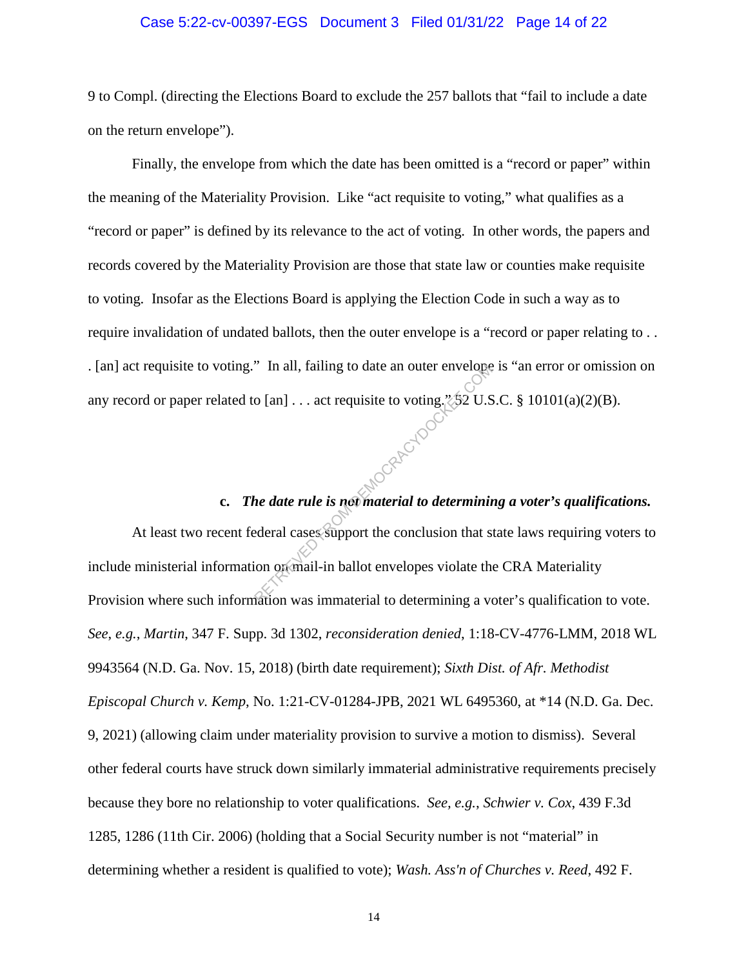#### Case 5:22-cv-00397-EGS Document 3 Filed 01/31/22 Page 14 of 22

9 to Compl. (directing the Elections Board to exclude the 257 ballots that "fail to include a date on the return envelope").

Finally, the envelope from which the date has been omitted is a "record or paper" within the meaning of the Materiality Provision. Like "act requisite to voting," what qualifies as a "record or paper" is defined by its relevance to the act of voting. In other words, the papers and records covered by the Materiality Provision are those that state law or counties make requisite to voting. Insofar as the Elections Board is applying the Election Code in such a way as to require invalidation of undated ballots, then the outer envelope is a "record or paper relating to . . . [an] act requisite to voting." In all, failing to date an outer envelope is "an error or omission on any record or paper related to [an] . . . act requisite to voting.  $\sqrt[2]{52}$  U.S.C. § 10101(a)(2)(B). MOCRAFICTOCK

# **c.** *The date rule is not material to determining a voter's qualifications.*

At least two recent federal cases support the conclusion that state laws requiring voters to include ministerial information on mail-in ballot envelopes violate the CRA Materiality Provision where such information was immaterial to determining a voter's qualification to vote. *See*, *e.g.*, *Martin*, 347 F. Supp. 3d 1302, *reconsideration denied*, 1:18-CV-4776-LMM, 2018 WL 9943564 (N.D. Ga. Nov. 15, 2018) (birth date requirement); *Sixth Dist. of Afr. Methodist Episcopal Church v. Kemp*, No. 1:21-CV-01284-JPB, 2021 WL 6495360, at \*14 (N.D. Ga. Dec. 9, 2021) (allowing claim under materiality provision to survive a motion to dismiss). Several other federal courts have struck down similarly immaterial administrative requirements precisely because they bore no relationship to voter qualifications. *See, e.g.*, *Schwier v. Cox*, 439 F.3d 1285, 1286 (11th Cir. 2006) (holding that a Social Security number is not "material" in determining whether a resident is qualified to vote); *Wash. Ass'n of Churches v. Reed*, 492 F.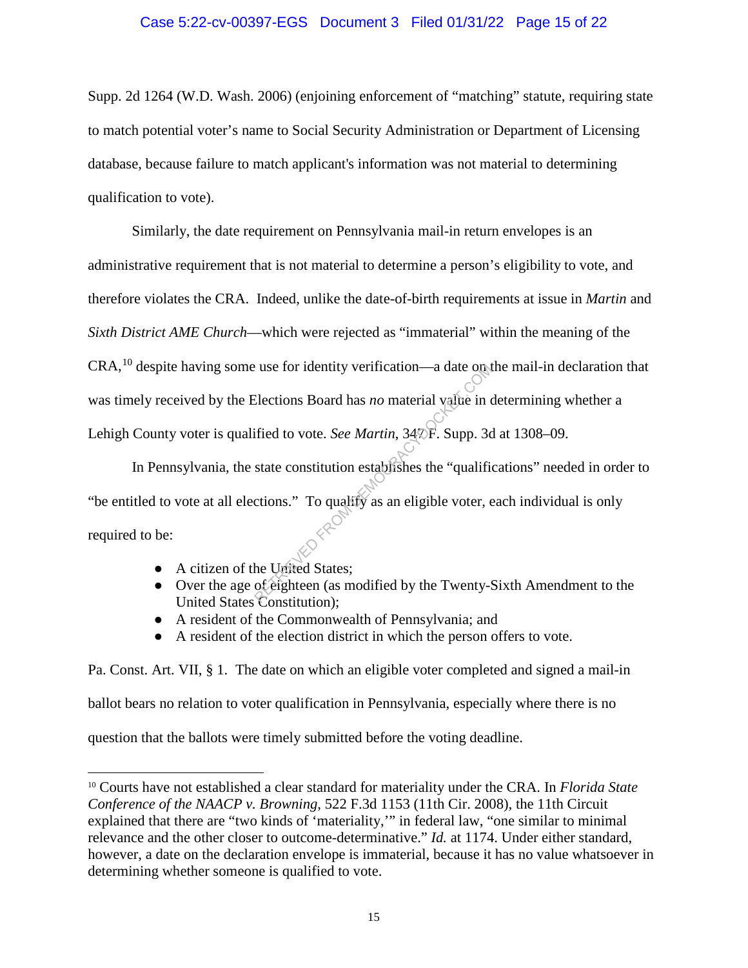#### Case 5:22-cv-00397-EGS Document 3 Filed 01/31/22 Page 15 of 22

Supp. 2d 1264 (W.D. Wash. 2006) (enjoining enforcement of "matching" statute, requiring state to match potential voter's name to Social Security Administration or Department of Licensing database, because failure to match applicant's information was not material to determining qualification to vote).

Similarly, the date requirement on Pennsylvania mail-in return envelopes is an administrative requirement that is not material to determine a person's eligibility to vote, and therefore violates the CRA. Indeed, unlike the date-of-birth requirements at issue in *Martin* and *Sixth District AME Church*—which were rejected as "immaterial" within the meaning of the CRA,10 despite having some use for identity verification—a date on the mail-in declaration that was timely received by the Elections Board has *no* material value in determining whether a Lehigh County voter is qualified to vote. *See Martin*,  $34\overline{p}$  F. Supp. 3d at 1308–09.

In Pennsylvania, the state constitution establishes the "qualifications" needed in order to "be entitled to vote at all elections." To qualify as an eligible voter, each individual is only required to be: Elections Board has *no* material value in dependence of the Slections Board has *no* material value in defined to vote. *See Martin*, 34 $\Re$ F. Supp. 3c state constitution establishes the "qualificitions." To qualify as a

● A citizen of the United States;

 $\overline{a}$ 

- Over the age of eighteen (as modified by the Twenty-Sixth Amendment to the United States Constitution);
- A resident of the Commonwealth of Pennsylvania; and
- A resident of the election district in which the person offers to vote.

Pa. Const. Art. VII, § 1. The date on which an eligible voter completed and signed a mail-in ballot bears no relation to voter qualification in Pennsylvania, especially where there is no question that the ballots were timely submitted before the voting deadline.

<sup>10</sup> Courts have not established a clear standard for materiality under the CRA. In *Florida State Conference of the NAACP v. Browning*, 522 F.3d 1153 (11th Cir. 2008), the 11th Circuit explained that there are "two kinds of 'materiality,'" in federal law, "one similar to minimal relevance and the other closer to outcome-determinative." *Id.* at 1174. Under either standard, however, a date on the declaration envelope is immaterial, because it has no value whatsoever in determining whether someone is qualified to vote.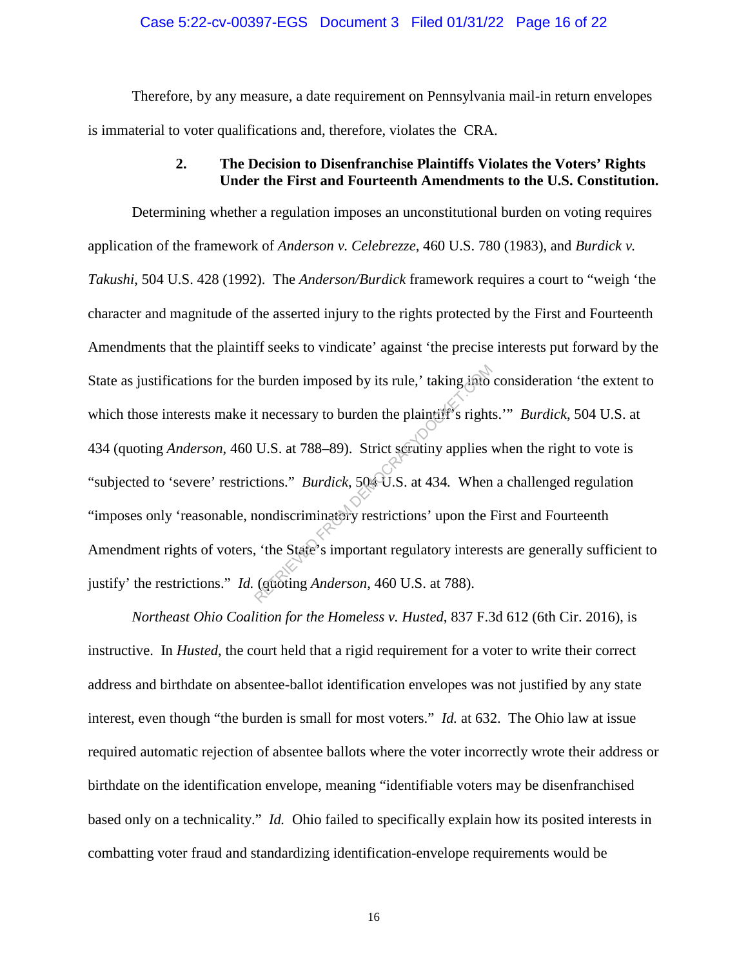#### Case 5:22-cv-00397-EGS Document 3 Filed 01/31/22 Page 16 of 22

Therefore, by any measure, a date requirement on Pennsylvania mail-in return envelopes is immaterial to voter qualifications and, therefore, violates the CRA.

## **2. The Decision to Disenfranchise Plaintiffs Violates the Voters' Rights Under the First and Fourteenth Amendments to the U.S. Constitution.**

Determining whether a regulation imposes an unconstitutional burden on voting requires application of the framework of *Anderson v. Celebrezze*, 460 U.S. 780 (1983), and *Burdick v. Takushi*, 504 U.S. 428 (1992). The *Anderson/Burdick* framework requires a court to "weigh 'the character and magnitude of the asserted injury to the rights protected by the First and Fourteenth Amendments that the plaintiff seeks to vindicate' against 'the precise interests put forward by the State as justifications for the burden imposed by its rule,' taking into consideration 'the extent to which those interests make it necessary to burden the plaintiff's rights.'" *Burdick*, 504 U.S. at 434 (quoting *Anderson*, 460 U.S. at 788–89). Strict scrutiny applies when the right to vote is "subjected to 'severe' restrictions." *Burdick*, 504 U.S. at 434*.* When a challenged regulation "imposes only 'reasonable, nondiscriminatory restrictions' upon the First and Fourteenth Amendment rights of voters, 'the State's important regulatory interests are generally sufficient to justify' the restrictions." *Id.* (quoting *Anderson*, 460 U.S. at 788). burden imposed by its rule,' taking into<br>t necessary to burden the plaintiff's right<br>U.S. at 788–89). Strict secutiny applies<br>tions." *Burdick*, 504 U.S. at 434. When<br>nondiscriminatory restrictions' upon the l<br>tions." *Bur* 

*Northeast Ohio Coalition for the Homeless v. Husted*, 837 F.3d 612 (6th Cir. 2016), is instructive. In *Husted*, the court held that a rigid requirement for a voter to write their correct address and birthdate on absentee-ballot identification envelopes was not justified by any state interest, even though "the burden is small for most voters." *Id.* at 632. The Ohio law at issue required automatic rejection of absentee ballots where the voter incorrectly wrote their address or birthdate on the identification envelope, meaning "identifiable voters may be disenfranchised based only on a technicality." *Id.* Ohio failed to specifically explain how its posited interests in combatting voter fraud and standardizing identification-envelope requirements would be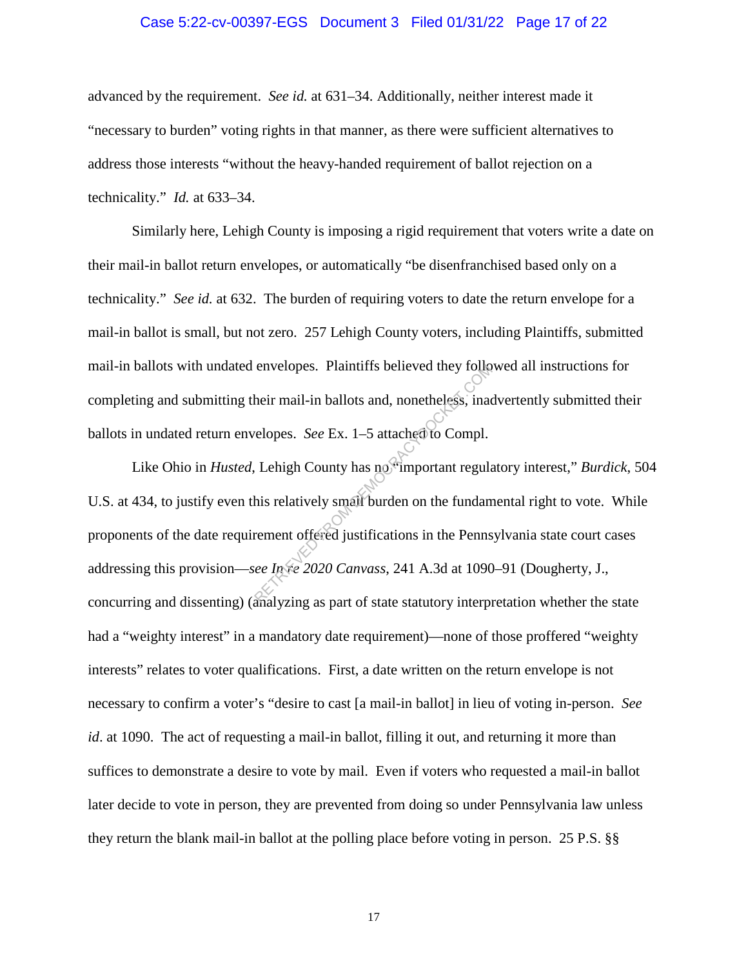#### Case 5:22-cv-00397-EGS Document 3 Filed 01/31/22 Page 17 of 22

advanced by the requirement. *See id.* at 631–34. Additionally, neither interest made it "necessary to burden" voting rights in that manner, as there were sufficient alternatives to address those interests "without the heavy-handed requirement of ballot rejection on a technicality." *Id.* at 633–34.

Similarly here, Lehigh County is imposing a rigid requirement that voters write a date on their mail-in ballot return envelopes, or automatically "be disenfranchised based only on a technicality." *See id.* at 632. The burden of requiring voters to date the return envelope for a mail-in ballot is small, but not zero. 257 Lehigh County voters, including Plaintiffs, submitted mail-in ballots with undated envelopes. Plaintiffs believed they followed all instructions for completing and submitting their mail-in ballots and, nonetheless, inadvertently submitted their ballots in undated return envelopes. *See* Ex. 1–5 attached to Compl.

Like Ohio in *Husted*, Lehigh County has no "important regulatory interest," *Burdick*, 504 U.S. at 434, to justify even this relatively small burden on the fundamental right to vote. While proponents of the date requirement offered justifications in the Pennsylvania state court cases addressing this provision—*see In re 2020 Canvass*, 241 A.3d at 1090–91 (Dougherty, J., concurring and dissenting) (analyzing as part of state statutory interpretation whether the state had a "weighty interest" in a mandatory date requirement)—none of those proffered "weighty interests" relates to voter qualifications. First, a date written on the return envelope is not necessary to confirm a voter's "desire to cast [a mail-in ballot] in lieu of voting in-person. *See id*. at 1090. The act of requesting a mail-in ballot, filling it out, and returning it more than suffices to demonstrate a desire to vote by mail. Even if voters who requested a mail-in ballot later decide to vote in person, they are prevented from doing so under Pennsylvania law unless they return the blank mail-in ballot at the polling place before voting in person. 25 P.S. §§ envelopes. Plaintiffs believed they follow<br>heir mail-in ballots and, nonetheless, inadelphes. See Ex. 1–5 attached to Compl.<br>Lehigh County has no important regular<br>his relatively small burden on the fundam<br>rement offered j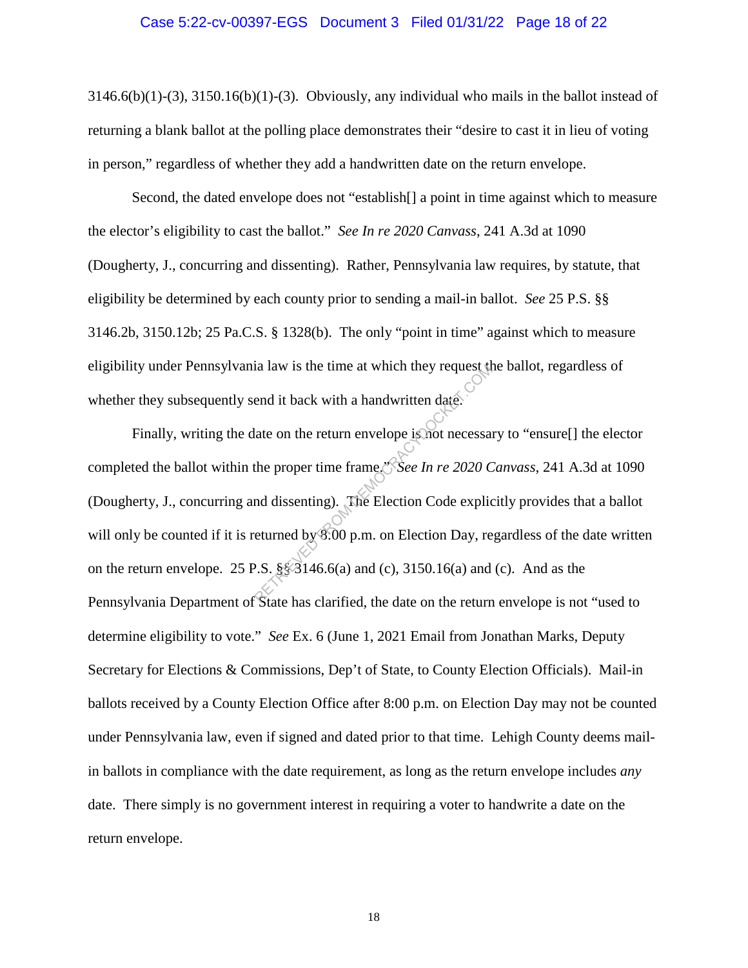#### Case 5:22-cv-00397-EGS Document 3 Filed 01/31/22 Page 18 of 22

 $3146.6(b)(1)-(3)$ ,  $3150.16(b)(1)-(3)$ . Obviously, any individual who mails in the ballot instead of returning a blank ballot at the polling place demonstrates their "desire to cast it in lieu of voting in person," regardless of whether they add a handwritten date on the return envelope.

Second, the dated envelope does not "establish[] a point in time against which to measure the elector's eligibility to cast the ballot." *See In re 2020 Canvass*, 241 A.3d at 1090 (Dougherty, J., concurring and dissenting). Rather, Pennsylvania law requires, by statute, that eligibility be determined by each county prior to sending a mail-in ballot. *See* 25 P.S. §§ 3146.2b, 3150.12b; 25 Pa.C.S. § 1328(b). The only "point in time" against which to measure eligibility under Pennsylvania law is the time at which they request the ballot, regardless of whether they subsequently send it back with a handwritten date.

Finally, writing the date on the return envelope is not necessary to "ensure<sup>[]</sup> the elector completed the ballot within the proper time frame." *See In re 2020 Canvass*, 241 A.3d at 1090 (Dougherty, J., concurring and dissenting). The Election Code explicitly provides that a ballot will only be counted if it is returned by 8:00 p.m. on Election Day, regardless of the date written on the return envelope. 25 P.S.  $\S$  $\S$ 3146.6(a) and (c), 3150.16(a) and (c). And as the Pennsylvania Department of State has clarified, the date on the return envelope is not "used to determine eligibility to vote." *See* Ex. 6 (June 1, 2021 Email from Jonathan Marks, Deputy Secretary for Elections & Commissions, Dep't of State, to County Election Officials). Mail-in ballots received by a County Election Office after 8:00 p.m. on Election Day may not be counted under Pennsylvania law, even if signed and dated prior to that time. Lehigh County deems mailin ballots in compliance with the date requirement, as long as the return envelope includes *any* date. There simply is no government interest in requiring a voter to handwrite a date on the return envelope. Example 18 km at which they request the<br>end it back with a handwritten date.<br>Late on the return envelope is not necessar<br>the proper time frame.<br>Since  $\frac{1}{2}$  and dissenting). The Election Code explice<br>turned by 8:00 p.m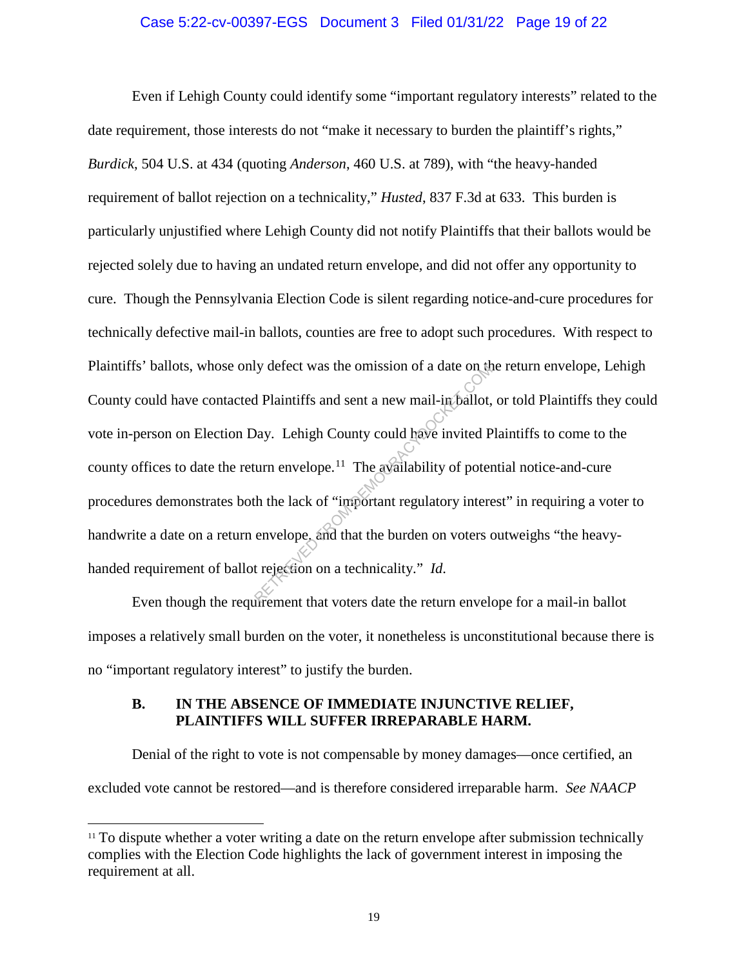#### Case 5:22-cv-00397-EGS Document 3 Filed 01/31/22 Page 19 of 22

Even if Lehigh County could identify some "important regulatory interests" related to the date requirement, those interests do not "make it necessary to burden the plaintiff's rights," *Burdick*, 504 U.S. at 434 (quoting *Anderson*, 460 U.S. at 789), with "the heavy-handed requirement of ballot rejection on a technicality," *Husted*, 837 F.3d at 633. This burden is particularly unjustified where Lehigh County did not notify Plaintiffs that their ballots would be rejected solely due to having an undated return envelope, and did not offer any opportunity to cure. Though the Pennsylvania Election Code is silent regarding notice-and-cure procedures for technically defective mail-in ballots, counties are free to adopt such procedures. With respect to Plaintiffs' ballots, whose only defect was the omission of a date on the return envelope, Lehigh County could have contacted Plaintiffs and sent a new mail-in ballot, or told Plaintiffs they could vote in-person on Election Day. Lehigh County could have invited Plaintiffs to come to the county offices to date the return envelope.<sup>11</sup> The availability of potential notice-and-cure procedures demonstrates both the lack of "important regulatory interest" in requiring a voter to handwrite a date on a return envelope, and that the burden on voters outweighs "the heavyhanded requirement of ballot rejection on a technicality." *Id*. By defect was the omission of a date on the distribution of a date on the distribution of Plaintiffs and sent a new mail-incidently.<br>
Day. Lehigh County could have invited P<br>
urn envelope.<sup>11</sup> The availability of potenth

Even though the requirement that voters date the return envelope for a mail-in ballot imposes a relatively small burden on the voter, it nonetheless is unconstitutional because there is no "important regulatory interest" to justify the burden.

### **B. IN THE ABSENCE OF IMMEDIATE INJUNCTIVE RELIEF, PLAINTIFFS WILL SUFFER IRREPARABLE HARM.**

Denial of the right to vote is not compensable by money damages—once certified, an excluded vote cannot be restored—and is therefore considered irreparable harm. *See NAACP* 

 $11$  To dispute whether a voter writing a date on the return envelope after submission technically complies with the Election Code highlights the lack of government interest in imposing the requirement at all.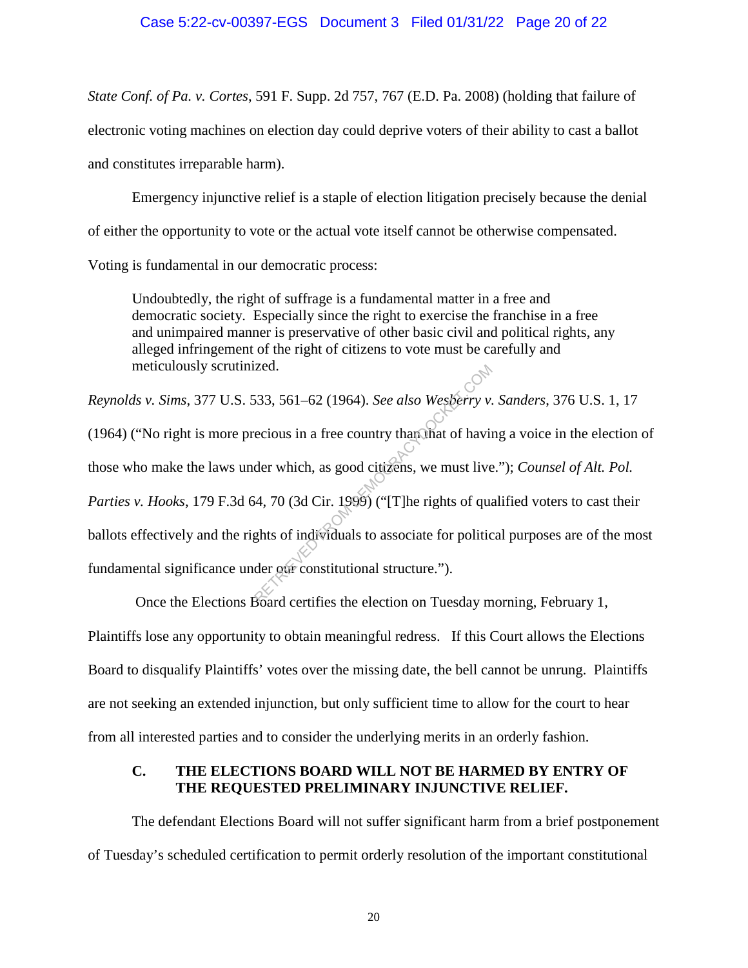### Case 5:22-cv-00397-EGS Document 3 Filed 01/31/22 Page 20 of 22

*State Conf. of Pa. v. Cortes*, 591 F. Supp. 2d 757, 767 (E.D. Pa. 2008) (holding that failure of electronic voting machines on election day could deprive voters of their ability to cast a ballot and constitutes irreparable harm).

Emergency injunctive relief is a staple of election litigation precisely because the denial of either the opportunity to vote or the actual vote itself cannot be otherwise compensated.

Voting is fundamental in our democratic process:

Undoubtedly, the right of suffrage is a fundamental matter in a free and democratic society. Especially since the right to exercise the franchise in a free and unimpaired manner is preservative of other basic civil and political rights, any alleged infringement of the right of citizens to vote must be carefully and meticulously scrutinized.

*Reynolds v. Sims*, 377 U.S. 533, 561–62 (1964). *See also Wesberry v. Sanders*, 376 U.S. 1, 17  $(1964)$  ("No right is more precious in a free country than that of having a voice in the election of those who make the laws under which, as good citizens, we must live."); *Counsel of Alt. Pol. Parties v. Hooks*, 179 F.3d 64, 70 (3d Cir. 1999) ("The rights of qualified voters to cast their ballots effectively and the rights of individuals to associate for political purposes are of the most fundamental significance under our constitutional structure."). zed.<br>
533, 561–62 (1964). *See also Wesberry v*.<br>
ecious in a free country than that of having the which, as good citizens, we must live<br>
4, 70 (3d Cir. 1999) ("[T]he rights of quantity of quantity of the section of polit

 Once the Elections Board certifies the election on Tuesday morning, February 1, Plaintiffs lose any opportunity to obtain meaningful redress. If this Court allows the Elections Board to disqualify Plaintiffs' votes over the missing date, the bell cannot be unrung. Plaintiffs are not seeking an extended injunction, but only sufficient time to allow for the court to hear from all interested parties and to consider the underlying merits in an orderly fashion.

## **C. THE ELECTIONS BOARD WILL NOT BE HARMED BY ENTRY OF THE REQUESTED PRELIMINARY INJUNCTIVE RELIEF.**

 The defendant Elections Board will not suffer significant harm from a brief postponement of Tuesday's scheduled certification to permit orderly resolution of the important constitutional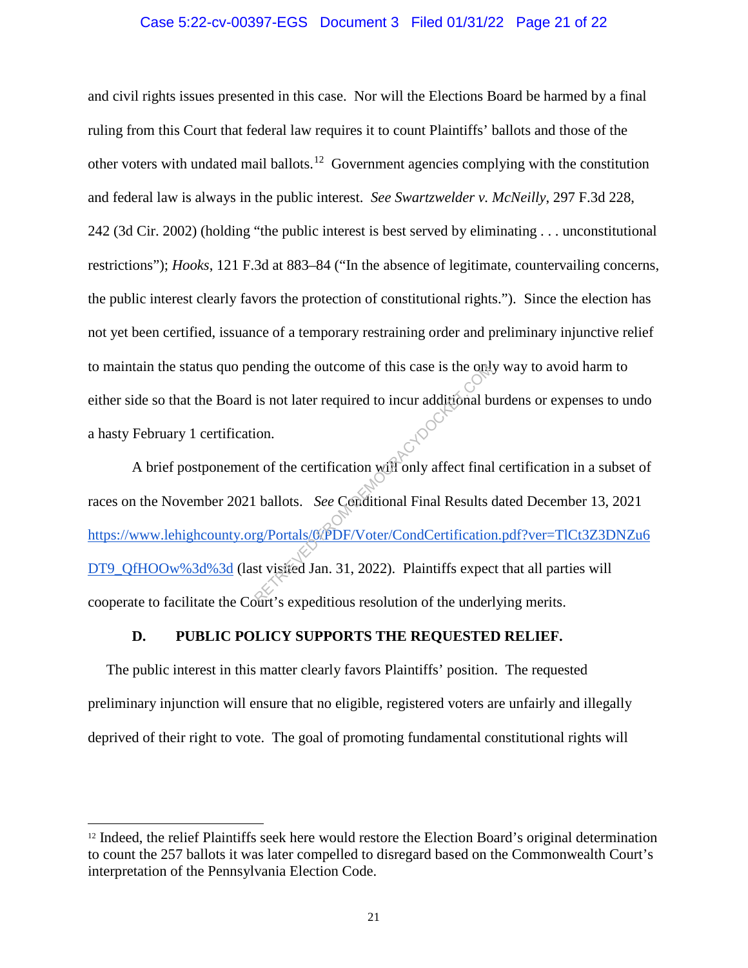#### Case 5:22-cv-00397-EGS Document 3 Filed 01/31/22 Page 21 of 22

and civil rights issues presented in this case. Nor will the Elections Board be harmed by a final ruling from this Court that federal law requires it to count Plaintiffs' ballots and those of the other voters with undated mail ballots.<sup>12</sup> Government agencies complying with the constitution and federal law is always in the public interest. *See Swartzwelder v. McNeilly*, 297 F.3d 228, 242 (3d Cir. 2002) (holding "the public interest is best served by eliminating . . . unconstitutional restrictions"); *Hooks*, 121 F.3d at 883–84 ("In the absence of legitimate, countervailing concerns, the public interest clearly favors the protection of constitutional rights."). Since the election has not yet been certified, issuance of a temporary restraining order and preliminary injunctive relief to maintain the status quo pending the outcome of this case is the only way to avoid harm to either side so that the Board is not later required to incur additional burdens or expenses to undo a hasty February 1 certification.

A brief postponement of the certification will only affect final certification in a subset of races on the November 2021 ballots. *See* Conditional Final Results dated December 13, 2021 https://www.lehighcounty.org/Portals/0/PDF/Voter/CondCertification.pdf?ver=TlCt3Z3DNZu6 DT9\_QfHOOw%3d%3d (last visited Jan. 31, 2022). Plaintiffs expect that all parties will cooperate to facilitate the Court's expeditious resolution of the underlying merits. example is not later required to incur additional b<br>is not later required to incur additional b<br>ion.<br>to the certification will only affect final<br>ballots. See Conditional Final Results<br>rg/Portals/OPDF/Voter/CondCertificatio

#### **D. PUBLIC POLICY SUPPORTS THE REQUESTED RELIEF.**

The public interest in this matter clearly favors Plaintiffs' position. The requested preliminary injunction will ensure that no eligible, registered voters are unfairly and illegally deprived of their right to vote. The goal of promoting fundamental constitutional rights will

<sup>&</sup>lt;sup>12</sup> Indeed, the relief Plaintiffs seek here would restore the Election Board's original determination to count the 257 ballots it was later compelled to disregard based on the Commonwealth Court's interpretation of the Pennsylvania Election Code.